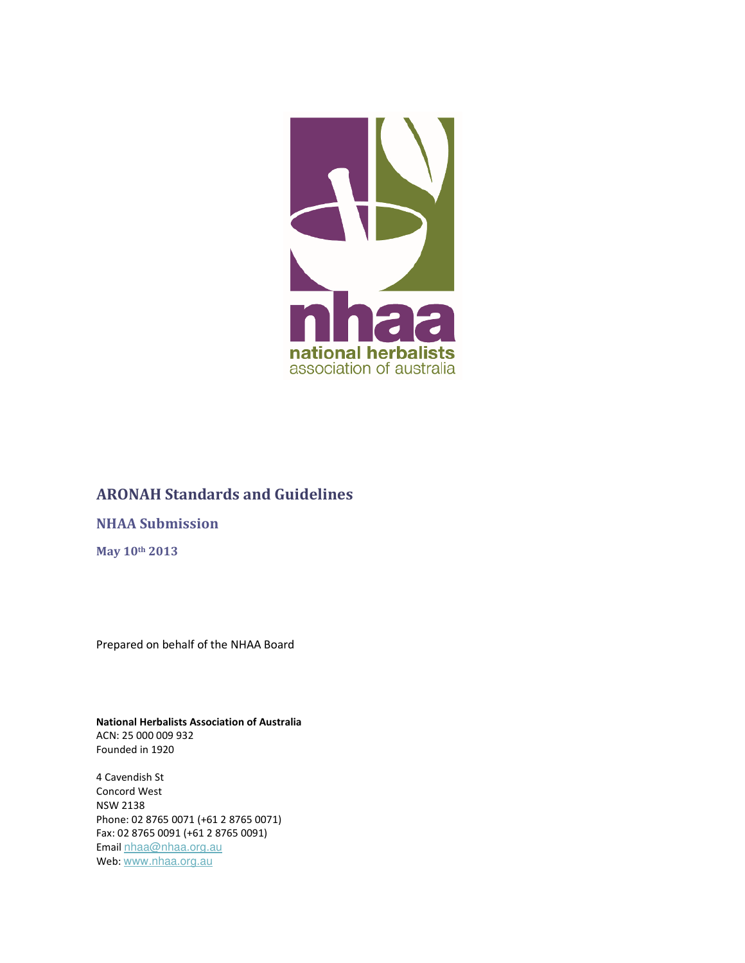

# ARONAH Standards and Guidelines

# NHAA Submission

May 10th 2013

Prepared on behalf of the NHAA Board

National Herbalists Association of Australia ACN: 25 000 009 932 Founded in 1920

4 Cavendish St Concord West NSW 2138 Phone: 02 8765 0071 (+61 2 8765 0071) Fax: 02 8765 0091 (+61 2 8765 0091) Email nhaa@nhaa.org.au Web: www.nhaa.org.au